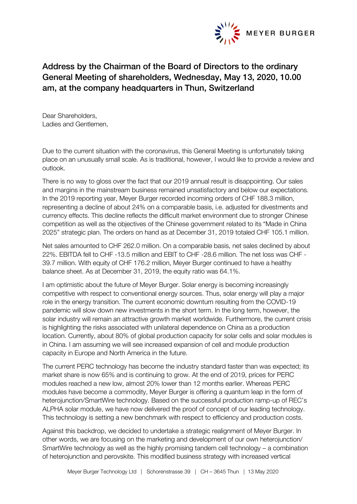

## Address by the Chairman of the Board of Directors to the ordinary General Meeting of shareholders, Wednesday, May 13, 2020, 10.00 am, at the company headquarters in Thun, Switzerland

Dear Shareholders, Ladies and Gentlemen,

Due to the current situation with the coronavirus, this General Meeting is unfortunately taking place on an unusually small scale. As is traditional, however, I would like to provide a review and outlook.

There is no way to gloss over the fact that our 2019 annual result is disappointing. Our sales and margins in the mainstream business remained unsatisfactory and below our expectations. In the 2019 reporting year, Meyer Burger recorded incoming orders of CHF 188.3 million, representing a decline of about 24% on a comparable basis, i.e. adjusted for divestments and currency effects. This decline reflects the difficult market environment due to stronger Chinese competition as well as the objectives of the Chinese government related to its "Made in China 2025" strategic plan. The orders on hand as at December 31, 2019 totaled CHF 105.1 million.

Net sales amounted to CHF 262.0 million. On a comparable basis, net sales declined by about 22%. EBITDA fell to CHF -13.5 million and EBIT to CHF -28.6 million. The net loss was CHF - 39.7 million. With equity of CHF 176.2 million, Meyer Burger continued to have a healthy balance sheet. As at December 31, 2019, the equity ratio was 64.1%.

I am optimistic about the future of Meyer Burger. Solar energy is becoming increasingly competitive with respect to conventional energy sources. Thus, solar energy will play a major role in the energy transition. The current economic downturn resulting from the COVID-19 pandemic will slow down new investments in the short term. In the long term, however, the solar industry will remain an attractive growth market worldwide. Furthermore, the current crisis is highlighting the risks associated with unilateral dependence on China as a production location. Currently, about 80% of global production capacity for solar cells and solar modules is in China. I am assuming we will see increased expansion of cell and module production capacity in Europe and North America in the future.

The current PERC technology has become the industry standard faster than was expected; its market share is now 65% and is continuing to grow. At the end of 2019, prices for PERC modules reached a new low, almost 20% lower than 12 months earlier. Whereas PERC modules have become a commodity, Meyer Burger is offering a quantum leap in the form of heterojunction/SmartWire technology. Based on the successful production ramp-up of REC's ALPHA solar module, we have now delivered the proof of concept of our leading technology. This technology is setting a new benchmark with respect to efficiency and production costs.

Against this backdrop, we decided to undertake a strategic realignment of Meyer Burger. In other words, we are focusing on the marketing and development of our own heterojunction/ SmartWire technology as well as the highly promising tandem cell technology – a combination of heterojunction and perovskite. This modified business strategy with increased vertical